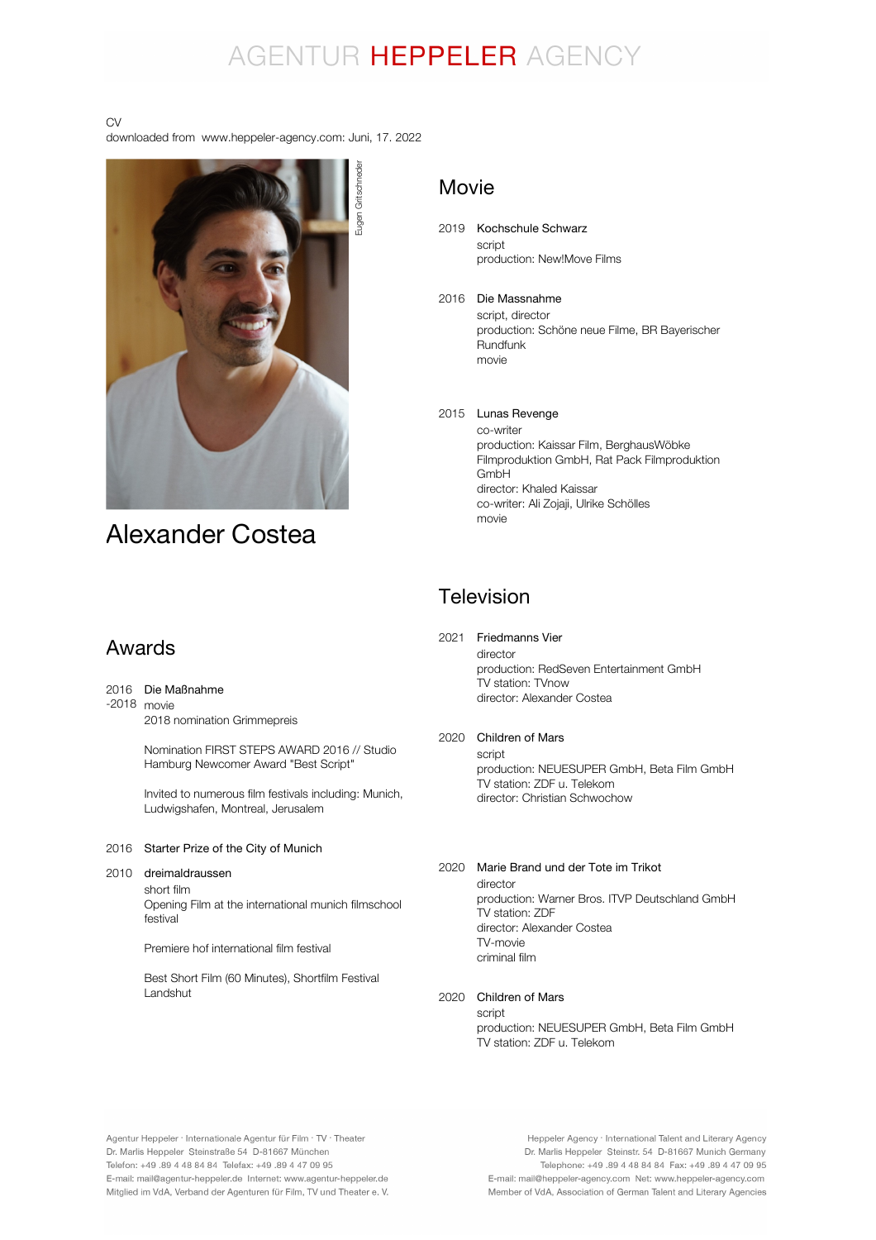# AGENTUR HEPPELER AGENCY

#### CV

downloaded from www.heppeler-agency.com: Juni, 17. 2022



# Alexander Costea

# Movie

- 2019 Kochschule Schwarz script production: New!Move Films
- 2016 Die Massnahme script, director production: Schöne neue Filme, BR Bayerischer Rundfunk movie
- 2015 Lunas Revenge co-writer production: Kaissar Film, BerghausWöbke Filmproduktion GmbH, Rat Pack Filmproduktion GmbH director: Khaled Kaissar co-writer: Ali Zojaji, Ulrike Schölles movie

# Television

# Awards

#### 2016 Die Maßnahme

-2018 movie 2018 nomination Grimmepreis

> Nomination FIRST STEPS AWARD 2016 // Studio Hamburg Newcomer Award "Best Script"

Invited to numerous film festivals including: Munich, Ludwigshafen, Montreal, Jerusalem

### 2016 Starter Prize of the City of Munich

#### 2010 dreimaldraussen

short film Opening Film at the international munich filmschool festival

Premiere hof international film festival

Best Short Film (60 Minutes), Shortfilm Festival Landshut

# 2021 Friedmanns Vier

director production: RedSeven Entertainment GmbH TV station: TVnow director: Alexander Costea

## 2020 Children of Mars

script production: NEUESUPER GmbH, Beta Film GmbH TV station: ZDF u. Telekom director: Christian Schwochow

## 2020 Marie Brand und der Tote im Trikot

director production: Warner Bros. ITVP Deutschland GmbH TV station: ZDF director: Alexander Costea TV-movie criminal film

## 2020 Children of Mars

script production: NEUESUPER GmbH, Beta Film GmbH TV station: ZDF u. Telekom